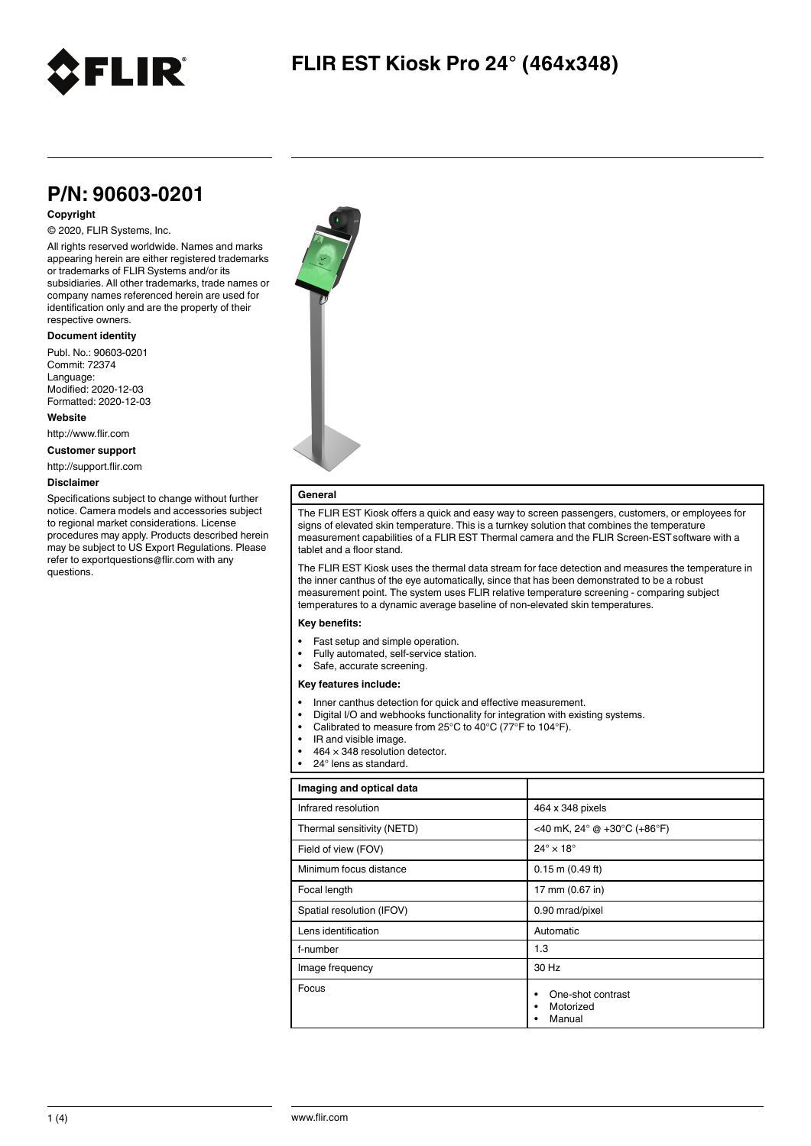

## **P/N: 90603-0201**

### **Copyright**

© 2020, FLIR Systems, Inc.

All rights reserved worldwide. Names and marks appearing herein are either registered trademarks or trademarks of FLIR Systems and/or its subsidiaries. All other trademarks, trade names or company names referenced herein are used for identification only and are the property of their respective owners.

#### **Document identity**

Publ. No.: 90603-0201 Commit: 72374 Language: Modified: 2020-12-03 Formatted: 2020-12-03

**Website**

http://www.flir.com

**Customer support**

http://support.flir.com

#### **Disclaimer**

Specifications subject to change without further notice. Camera models and accessories subject to regional market considerations. License procedures may apply. Products described herein may be subject to US Export Regulations. Please refer to exportquestions@flir.com with any questions.



### **General**

The FLIR EST Kiosk offers a quick and easy way to screen passengers, customers, or employees for signs of elevated skin temperature. This is a turnkey solution that combines the temperature measurement capabilities of a FLIR EST Thermal camera and the FLIR Screen-ESTsoftware with a tablet and a floor stand.

The FLIR EST Kiosk uses the thermal data stream for face detection and measures the temperature in the inner canthus of the eye automatically, since that has been demonstrated to be a robust measurement point. The system uses FLIR relative temperature screening - comparing subject temperatures to a dynamic average baseline of non-elevated skin temperatures.

#### **Key benefits:**

- Fast setup and simple operation.
- Fully automated, self-service station.
- Safe, accurate screening.

#### **Key features include:**

- Inner canthus detection for quick and effective measurement.
- Digital I/O and webhooks functionality for integration with existing systems.
- Calibrated to measure from 25°C to 40°C (77°F to 104°F).
- IR and visible image.
- $464 \times 348$  resolution detector.
- 24° lens as standard

| Imaging and optical data   |                                          |
|----------------------------|------------------------------------------|
| Infrared resolution        | 464 x 348 pixels                         |
| Thermal sensitivity (NETD) | <40 mK, 24° @ +30°C (+86°F)              |
| Field of view (FOV)        | $24^\circ \times 18^\circ$               |
| Minimum focus distance     | $0.15$ m $(0.49$ ft)                     |
| Focal length               | 17 mm (0.67 in)                          |
| Spatial resolution (IFOV)  | 0.90 mrad/pixel                          |
| Lens identification        | Automatic                                |
| f-number                   | 1.3                                      |
| Image frequency            | 30 Hz                                    |
| Focus                      | One-shot contrast<br>Motorized<br>Manual |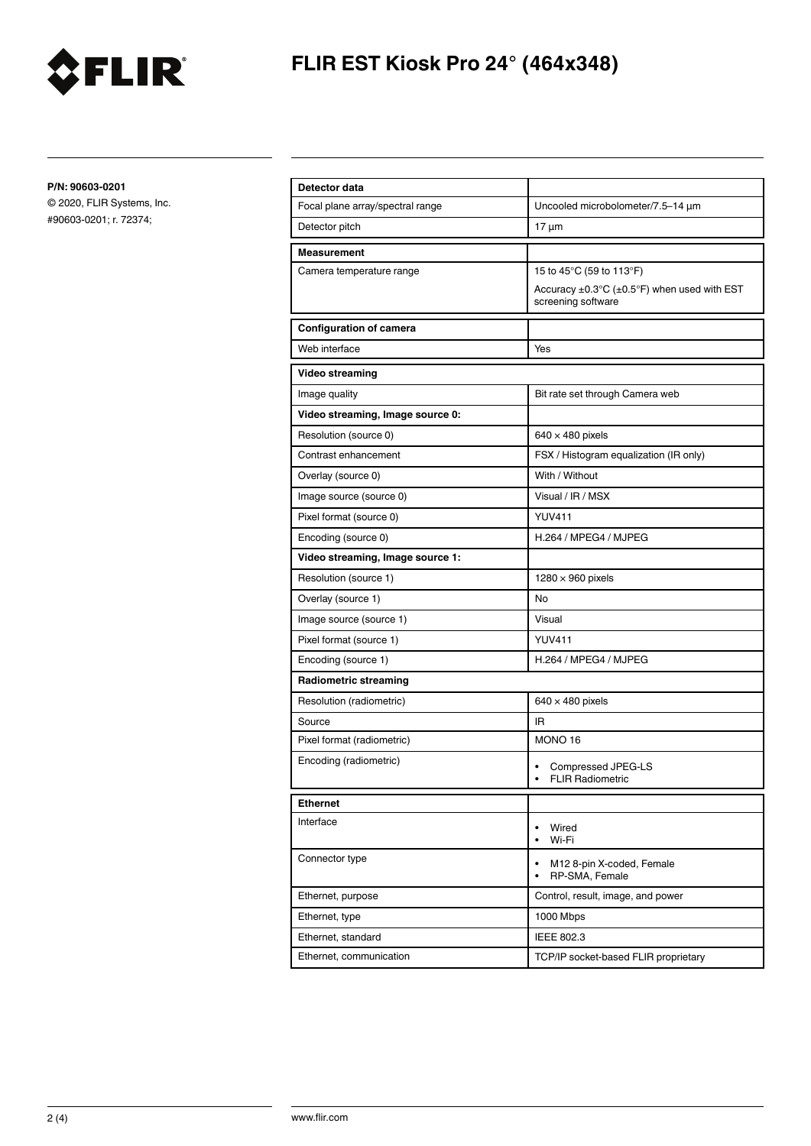

# **FLIR EST Kiosk Pro 24° (464x348)**

**P/N: 90603-0201**

© 2020, FLIR Systems, Inc. #90603-0201; r. 72374;

| Detector data                    |                                                                       |
|----------------------------------|-----------------------------------------------------------------------|
| Focal plane array/spectral range | Uncooled microbolometer/7.5-14 µm                                     |
| Detector pitch                   | $17 \mu m$                                                            |
| <b>Measurement</b>               |                                                                       |
| Camera temperature range         | 15 to 45°C (59 to 113°F)                                              |
|                                  | Accuracy ±0.3°C (±0.5°F) when used with EST<br>screening software     |
| <b>Configuration of camera</b>   |                                                                       |
| Web interface                    | Yes                                                                   |
| Video streaming                  |                                                                       |
| Image quality                    | Bit rate set through Camera web                                       |
| Video streaming, Image source 0: |                                                                       |
| Resolution (source 0)            | $640 \times 480$ pixels                                               |
| Contrast enhancement             | FSX / Histogram equalization (IR only)                                |
| Overlay (source 0)               | With / Without                                                        |
| Image source (source 0)          | Visual / IR / MSX                                                     |
| Pixel format (source 0)          | <b>YUV411</b>                                                         |
| Encoding (source 0)              | H.264 / MPEG4 / MJPEG                                                 |
| Video streaming, Image source 1: |                                                                       |
| Resolution (source 1)            | $1280 \times 960$ pixels                                              |
| Overlay (source 1)               | No                                                                    |
| Image source (source 1)          | Visual                                                                |
| Pixel format (source 1)          | <b>YUV411</b>                                                         |
| Encoding (source 1)              | H.264 / MPEG4 / MJPEG                                                 |
| <b>Radiometric streaming</b>     |                                                                       |
| Resolution (radiometric)         | $640 \times 480$ pixels                                               |
| Source                           | <b>IR</b>                                                             |
| Pixel format (radiometric)       | MONO 16                                                               |
| Encoding (radiometric)           | Compressed JPEG-LS<br><b>FLIR Radiometric</b><br>$\bullet$            |
| <b>Ethernet</b>                  |                                                                       |
| Interface                        | Wired<br>$\bullet$<br>Wi-Fi<br>$\bullet$                              |
| Connector type                   | M12 8-pin X-coded, Female<br>$\bullet$<br>RP-SMA, Female<br>$\bullet$ |
| Ethernet, purpose                | Control, result, image, and power                                     |
| Ethernet, type                   | 1000 Mbps                                                             |
| Ethernet, standard               | IEEE 802.3                                                            |
| Ethernet, communication          | TCP/IP socket-based FLIR proprietary                                  |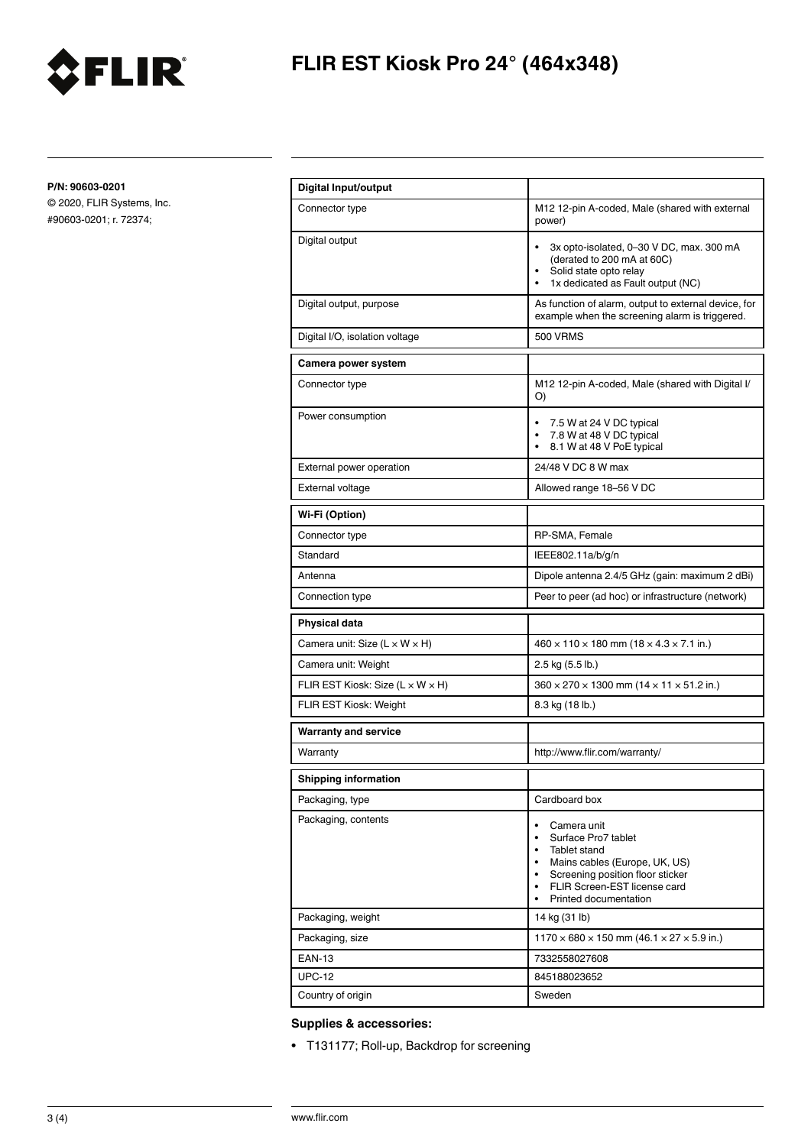

# **FLIR EST Kiosk Pro 24° (464x348)**

**P/N: 90603-0201**

© 2020, FLIR Systems, Inc. #90603-0201; r. 72374;

| <b>Digital Input/output</b>                    |                                                                                                                                                                                                                                                                |
|------------------------------------------------|----------------------------------------------------------------------------------------------------------------------------------------------------------------------------------------------------------------------------------------------------------------|
| Connector type                                 | M12 12-pin A-coded, Male (shared with external<br>power)                                                                                                                                                                                                       |
| Digital output                                 | 3x opto-isolated, 0-30 V DC, max. 300 mA<br>(derated to 200 mA at 60C)<br>Solid state opto relay<br>1x dedicated as Fault output (NC)<br>$\bullet$                                                                                                             |
| Digital output, purpose                        | As function of alarm, output to external device, for<br>example when the screening alarm is triggered.                                                                                                                                                         |
| Digital I/O, isolation voltage                 | <b>500 VRMS</b>                                                                                                                                                                                                                                                |
| Camera power system                            |                                                                                                                                                                                                                                                                |
| Connector type                                 | M12 12-pin A-coded, Male (shared with Digital I/<br>O)                                                                                                                                                                                                         |
| Power consumption                              | 7.5 W at 24 V DC typical<br>$\bullet$<br>7.8 W at 48 V DC typical<br>8.1 W at 48 V PoE typical<br>$\bullet$                                                                                                                                                    |
| External power operation                       | 24/48 V DC 8 W max                                                                                                                                                                                                                                             |
| <b>External voltage</b>                        | Allowed range 18-56 V DC                                                                                                                                                                                                                                       |
| Wi-Fi (Option)                                 |                                                                                                                                                                                                                                                                |
| Connector type                                 | RP-SMA, Female                                                                                                                                                                                                                                                 |
| Standard                                       | IEEE802.11a/b/g/n                                                                                                                                                                                                                                              |
| Antenna                                        | Dipole antenna 2.4/5 GHz (gain: maximum 2 dBi)                                                                                                                                                                                                                 |
| Connection type                                | Peer to peer (ad hoc) or infrastructure (network)                                                                                                                                                                                                              |
| <b>Physical data</b>                           |                                                                                                                                                                                                                                                                |
| Camera unit: Size $(L \times W \times H)$      | $460 \times 110 \times 180$ mm $(18 \times 4.3 \times 7.1$ in.)                                                                                                                                                                                                |
| Camera unit: Weight                            | 2.5 kg (5.5 lb.)                                                                                                                                                                                                                                               |
| FLIR EST Kiosk: Size ( $L \times W \times H$ ) | $360 \times 270 \times 1300$ mm (14 $\times$ 11 $\times$ 51.2 in.)                                                                                                                                                                                             |
| FLIR EST Kiosk: Weight                         | 8.3 kg (18 lb.)                                                                                                                                                                                                                                                |
| <b>Warranty and service</b>                    |                                                                                                                                                                                                                                                                |
| Warranty                                       | http://www.flir.com/warranty/                                                                                                                                                                                                                                  |
| <b>Shipping information</b>                    |                                                                                                                                                                                                                                                                |
| Packaging, type                                | Cardboard box                                                                                                                                                                                                                                                  |
| Packaging, contents                            | Camera unit<br>Surface Pro7 tablet<br>$\bullet$<br>Tablet stand<br>$\bullet$<br>Mains cables (Europe, UK, US)<br>$\bullet$<br>Screening position floor sticker<br>$\bullet$<br>FLIR Screen-EST license card<br>$\bullet$<br>Printed documentation<br>$\bullet$ |
| Packaging, weight                              | 14 kg (31 lb)                                                                                                                                                                                                                                                  |
| Packaging, size                                | $1170 \times 680 \times 150$ mm (46.1 $\times$ 27 $\times$ 5.9 in.)                                                                                                                                                                                            |
| <b>EAN-13</b>                                  | 7332558027608                                                                                                                                                                                                                                                  |
| <b>UPC-12</b>                                  | 845188023652                                                                                                                                                                                                                                                   |
| Country of origin                              | Sweden                                                                                                                                                                                                                                                         |

### **Supplies & accessories:**

• T131177; Roll-up, Backdrop for screening